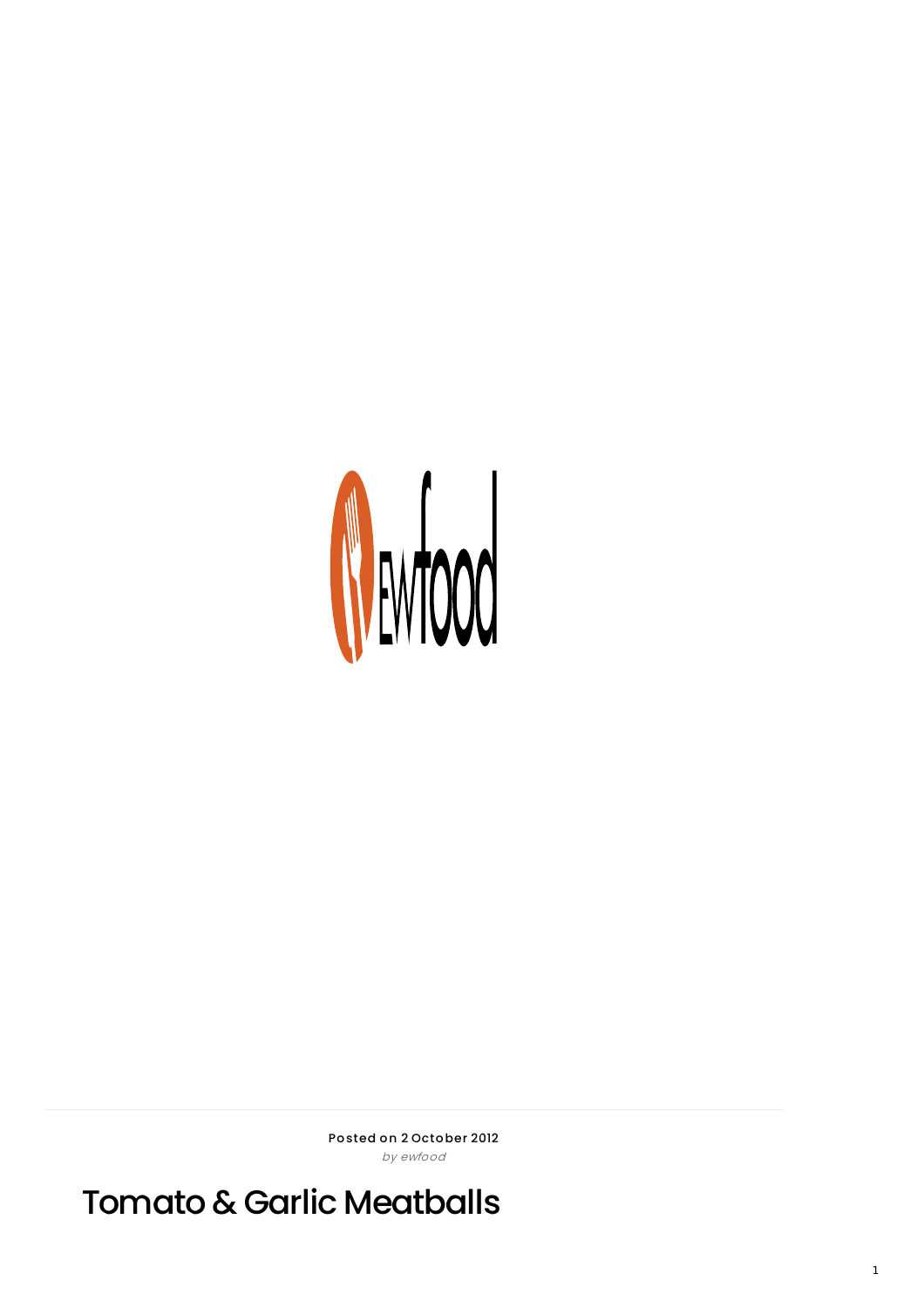

Posted on 2 October 2012 by ewfood

Tomato & Garlic Meatballs